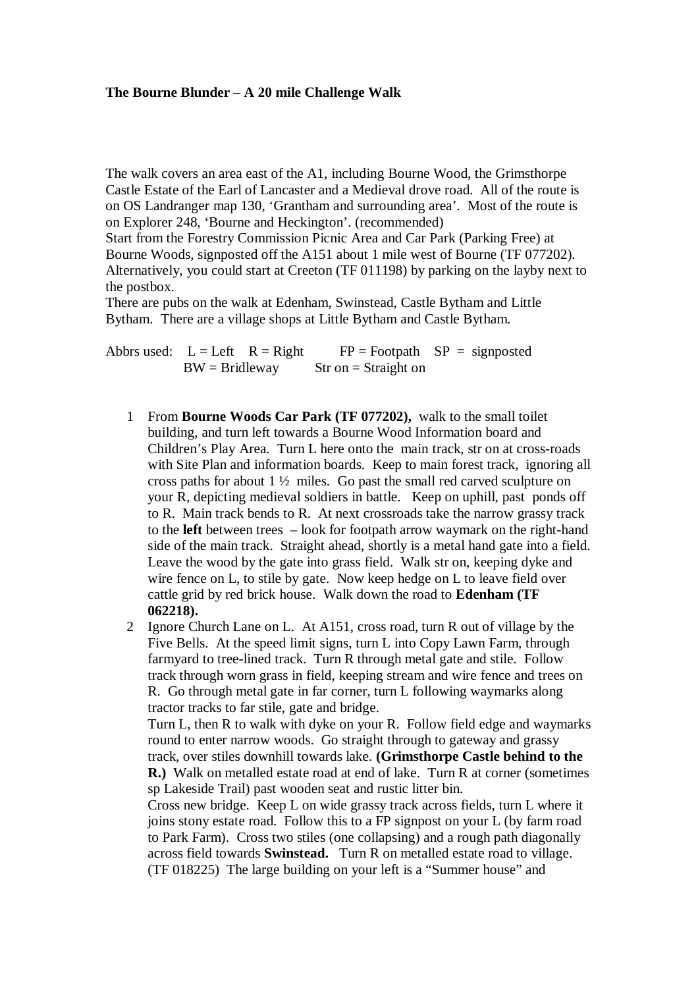## **The Bourne Blunder – A 20 mile Challenge Walk**

The walk covers an area east of the A1, including Bourne Wood, the Grimsthorpe Castle Estate of the Earl of Lancaster and a Medieval drove road. All of the route is on OS Landranger map 130, 'Grantham and surrounding area'. Most of the route is on Explorer 248, 'Bourne and Heckington'. (recommended)

Start from the Forestry Commission Picnic Area and Car Park (Parking Free) at Bourne Woods, signposted off the A151 about 1 mile west of Bourne (TF 077202). Alternatively, you could start at Creeton (TF 011198) by parking on the layby next to the postbox.

There are pubs on the walk at Edenham, Swinstead, Castle Bytham and Little Bytham. There are a village shops at Little Bytham and Castle Bytham.

Abbrs used:  $L = Left \ R = Right \ F = Footpath \ SP = sign posted$  $BW = Bridleway$  Str on = Straight on

1 From **Bourne Woods Car Park (TF 077202),** walk to the small toilet building, and turn left towards a Bourne Wood Information board and Children's Play Area. Turn L here onto the main track, str on at cross-roads with Site Plan and information boards. Keep to main forest track, ignoring all cross paths for about 1 ½ miles. Go past the small red carved sculpture on your R, depicting medieval soldiers in battle. Keep on uphill, past ponds off to R. Main track bends to R. At next crossroads take the narrow grassy track to the **left** between trees – look for footpath arrow waymark on the right-hand side of the main track. Straight ahead, shortly is a metal hand gate into a field. Leave the wood by the gate into grass field. Walk str on, keeping dyke and wire fence on L, to stile by gate. Now keep hedge on L to leave field over cattle grid by red brick house. Walk down the road to **Edenham (TF 062218).**

2 Ignore Church Lane on L. At A151, cross road, turn R out of village by the Five Bells. At the speed limit signs, turn L into Copy Lawn Farm, through farmyard to tree-lined track. Turn R through metal gate and stile. Follow track through worn grass in field, keeping stream and wire fence and trees on R. Go through metal gate in far corner, turn L following waymarks along tractor tracks to far stile, gate and bridge.

Turn L, then R to walk with dyke on your R. Follow field edge and waymarks round to enter narrow woods. Go straight through to gateway and grassy track, over stiles downhill towards lake. **(Grimsthorpe Castle behind to the R.)** Walk on metalled estate road at end of lake. Turn R at corner (sometimes sp Lakeside Trail) past wooden seat and rustic litter bin.

Cross new bridge. Keep L on wide grassy track across fields, turn L where it joins stony estate road. Follow this to a FP signpost on your L (by farm road to Park Farm). Cross two stiles (one collapsing) and a rough path diagonally across field towards **Swinstead.** Turn R on metalled estate road to village. (TF 018225) The large building on your left is a "Summer house" and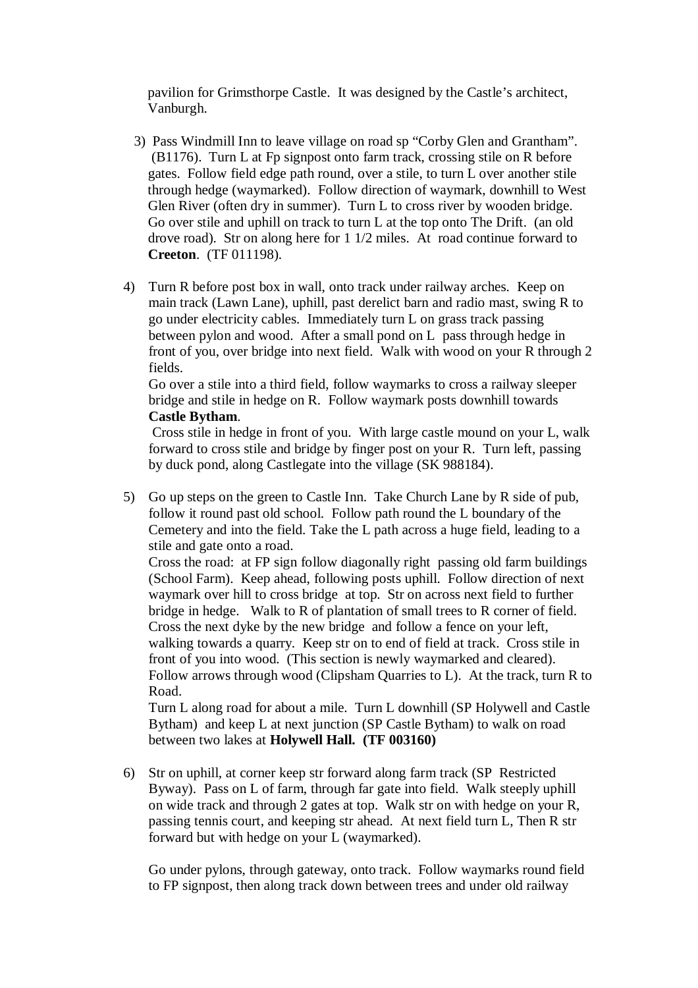pavilion for Grimsthorpe Castle. It was designed by the Castle's architect, Vanburgh.

- 3) Pass Windmill Inn to leave village on road sp "Corby Glen and Grantham". (B1176). Turn L at Fp signpost onto farm track, crossing stile on R before gates. Follow field edge path round, over a stile, to turn L over another stile through hedge (waymarked). Follow direction of waymark, downhill to West Glen River (often dry in summer). Turn L to cross river by wooden bridge. Go over stile and uphill on track to turn L at the top onto The Drift. (an old drove road). Str on along here for 1 1/2 miles. At road continue forward to  **Creeton**. (TF 011198).
- 4) Turn R before post box in wall, onto track under railway arches. Keep on main track (Lawn Lane), uphill, past derelict barn and radio mast, swing R to go under electricity cables. Immediately turn L on grass track passing between pylon and wood. After a small pond on L pass through hedge in front of you, over bridge into next field. Walk with wood on your R through 2 fields.

Go over a stile into a third field, follow waymarks to cross a railway sleeper bridge and stile in hedge on R. Follow waymark posts downhill towards **Castle Bytham**.

 Cross stile in hedge in front of you. With large castle mound on your L, walk forward to cross stile and bridge by finger post on your R. Turn left, passing by duck pond, along Castlegate into the village (SK 988184).

5) Go up steps on the green to Castle Inn. Take Church Lane by R side of pub, follow it round past old school. Follow path round the L boundary of the Cemetery and into the field. Take the L path across a huge field, leading to a stile and gate onto a road.

Cross the road: at FP sign follow diagonally right passing old farm buildings (School Farm). Keep ahead, following posts uphill. Follow direction of next waymark over hill to cross bridge at top. Str on across next field to further bridge in hedge. Walk to R of plantation of small trees to R corner of field. Cross the next dyke by the new bridge and follow a fence on your left, walking towards a quarry. Keep str on to end of field at track. Cross stile in front of you into wood. (This section is newly waymarked and cleared). Follow arrows through wood (Clipsham Quarries to L). At the track, turn R to Road.

Turn L along road for about a mile. Turn L downhill (SP Holywell and Castle Bytham) and keep L at next junction (SP Castle Bytham) to walk on road between two lakes at **Holywell Hall. (TF 003160)** 

6) Str on uphill, at corner keep str forward along farm track (SP Restricted Byway). Pass on L of farm, through far gate into field. Walk steeply uphill on wide track and through 2 gates at top. Walk str on with hedge on your R, passing tennis court, and keeping str ahead. At next field turn L, Then R str forward but with hedge on your L (waymarked).

Go under pylons, through gateway, onto track. Follow waymarks round field to FP signpost, then along track down between trees and under old railway